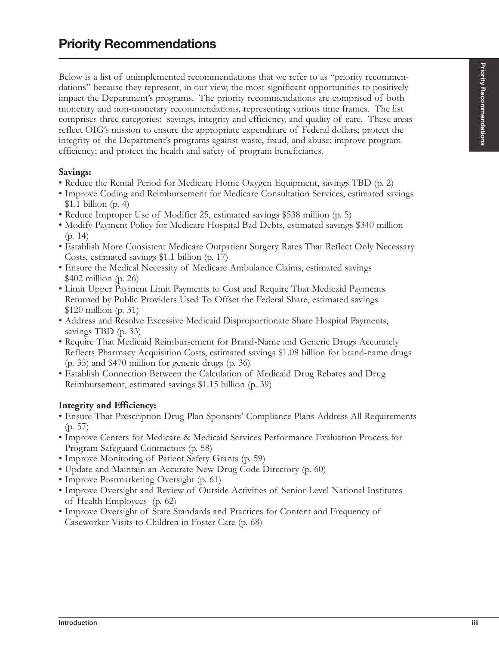Below is a list of unimplemented recommendations that we refer to as "priority recommendations" because they represent, in our view, the most significant opportunities to positively impact the Department's programs. The priority recommendations are comprised of both monetary and non-monetary recommendations, representing various time frames. The list comprises three categories: savings, integrity and efficiency, and quality of care. These areas reflect OIG's mission to ensure the appropriate expenditure of Federal dollars; protect the integrity of the Department's programs against waste, fraud, and abuse; improve program efficiency; and protect the health and safety of program beneficiaries.

## **Savings:**

- Reduce the Rental Period for Medicare Home Oxygen Equipment, savings TBD (p. 2)
- Improve Coding and Reimbursement for Medicare Consultation Services, estimated savings \$1.1 billion (p. 4)
- Reduce Improper Use of Modifier 25, estimated savings \$538 million (p. 5)
- Modify Payment Policy for Medicare Hospital Bad Debts, estimated savings \$340 million (p. 14)
- Establish More Consistent Medicare Outpatient Surgery Rates That Reflect Only Necessary Costs, estimated savings \$1.1 billion (p. 17)
- Ensure the Medical Necessity of Medicare Ambulance Claims, estimated savings \$402 million (p. 26)
- Limit Upper Payment Limit Payments to Cost and Require That Medicaid Payments Returned by Public Providers Used To Offset the Federal Share, estimated savings \$120 million (p. 31)
- Address and Resolve Excessive Medicaid Disproportionate Share Hospital Payments, savings TBD (p. 33)
- Require That Medicaid Reimbursement for Brand-Name and Generic Drugs Accurately Reflects Pharmacy Acquisition Costs, estimated savings \$1.08 billion for brand-name drugs (p. 35) and \$470 million for generic drugs (p. 36)
- Establish Connection Between the Calculation of Medicaid Drug Rebates and Drug Reimbursement, estimated savings \$1.15 billion (p. 39)

## **Integrity and Efficiency:**

- Ensure That Prescription Drug Plan Sponsors' Compliance Plans Address All Requirements (p. 57)
- Improve Centers for Medicare & Medicaid Services Performance Evaluation Process for Program Safeguard Contractors (p. 58)
- Improve Monitoring of Patient Safety Grants (p. 59)
- Update and Maintain an Accurate New Drug Code Directory (p. 60)
- Improve Postmarketing Oversight (p. 61)
- Improve Oversight and Review of Outside Activities of Senior-Level National Institutes of Health Employees (p. 62)
- Improve Oversight of State Standards and Practices for Content and Frequency of Caseworker Visits to Children in Foster Care (p. 68)